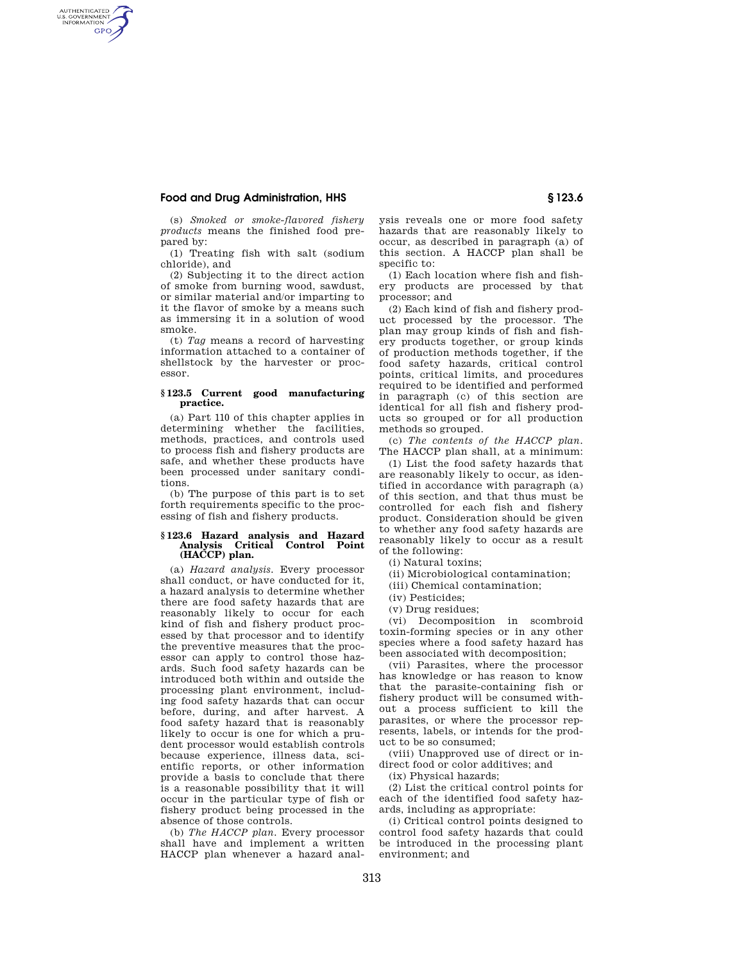## **Food and Drug Administration, HHS § 123.6**

AUTHENTICATED<br>U.S. GOVERNMENT<br>INFORMATION **GPO** 

(s) *Smoked or smoke-flavored fishery products* means the finished food prepared by:

(1) Treating fish with salt (sodium chloride), and

(2) Subjecting it to the direct action of smoke from burning wood, sawdust, or similar material and/or imparting to it the flavor of smoke by a means such as immersing it in a solution of wood smoke.

(t) *Tag* means a record of harvesting information attached to a container of shellstock by the harvester or processor.

## **§ 123.5 Current good manufacturing practice.**

(a) Part 110 of this chapter applies in determining whether the facilities, methods, practices, and controls used to process fish and fishery products are safe, and whether these products have been processed under sanitary conditions.

(b) The purpose of this part is to set forth requirements specific to the processing of fish and fishery products.

## **§ 123.6 Hazard analysis and Hazard Analysis Critical Control Point (HACCP) plan.**

(a) *Hazard analysis.* Every processor shall conduct, or have conducted for it, a hazard analysis to determine whether there are food safety hazards that are reasonably likely to occur for each kind of fish and fishery product processed by that processor and to identify the preventive measures that the processor can apply to control those hazards. Such food safety hazards can be introduced both within and outside the processing plant environment, including food safety hazards that can occur before, during, and after harvest. A food safety hazard that is reasonably likely to occur is one for which a prudent processor would establish controls because experience, illness data, scientific reports, or other information provide a basis to conclude that there is a reasonable possibility that it will occur in the particular type of fish or fishery product being processed in the absence of those controls.

(b) *The HACCP plan.* Every processor shall have and implement a written HACCP plan whenever a hazard analysis reveals one or more food safety hazards that are reasonably likely to occur, as described in paragraph (a) of this section. A HACCP plan shall be specific to:

(1) Each location where fish and fishery products are processed by that processor; and

(2) Each kind of fish and fishery product processed by the processor. The plan may group kinds of fish and fishery products together, or group kinds of production methods together, if the food safety hazards, critical control points, critical limits, and procedures required to be identified and performed in paragraph (c) of this section are identical for all fish and fishery products so grouped or for all production methods so grouped.

(c) *The contents of the HACCP plan.*  The HACCP plan shall, at a minimum:

(1) List the food safety hazards that are reasonably likely to occur, as identified in accordance with paragraph (a) of this section, and that thus must be controlled for each fish and fishery product. Consideration should be given to whether any food safety hazards are reasonably likely to occur as a result of the following:

(i) Natural toxins;

(ii) Microbiological contamination;

(iii) Chemical contamination;

(iv) Pesticides;

(v) Drug residues;

(vi) Decomposition in scombroid toxin-forming species or in any other species where a food safety hazard has been associated with decomposition;

(vii) Parasites, where the processor has knowledge or has reason to know that the parasite-containing fish or fishery product will be consumed without a process sufficient to kill the parasites, or where the processor represents, labels, or intends for the product to be so consumed;

(viii) Unapproved use of direct or indirect food or color additives; and

(ix) Physical hazards;

(2) List the critical control points for each of the identified food safety hazards, including as appropriate:

(i) Critical control points designed to control food safety hazards that could be introduced in the processing plant environment; and